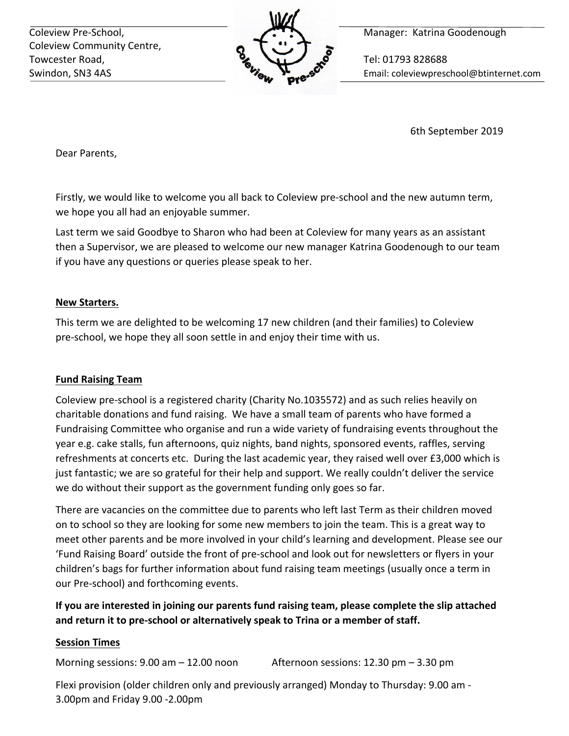Coleview Community Centre, Towcester Road, **The Contract of Tel: 01793 828688** 



Coleview Pre-School, **Manager: Katrina Goodenough** 

Swindon, SN3 4AS Email: coleviewpreschool@btinternet.com

6th September 2019

Dear Parents,

Firstly, we would like to welcome you all back to Coleview pre-school and the new autumn term, we hope you all had an enjoyable summer.

Last term we said Goodbye to Sharon who had been at Coleview for many years as an assistant then a Supervisor, we are pleased to welcome our new manager Katrina Goodenough to our team if you have any questions or queries please speak to her.

## **New Starters.**

This term we are delighted to be welcoming 17 new children (and their families) to Coleview pre-school, we hope they all soon settle in and enjoy their time with us.

# **Fund Raising Team**

Coleview pre-school is a registered charity (Charity No.1035572) and as such relies heavily on charitable donations and fund raising. We have a small team of parents who have formed a Fundraising Committee who organise and run a wide variety of fundraising events throughout the year e.g. cake stalls, fun afternoons, quiz nights, band nights, sponsored events, raffles, serving refreshments at concerts etc. During the last academic year, they raised well over £3,000 which is just fantastic; we are so grateful for their help and support. We really couldn't deliver the service we do without their support as the government funding only goes so far.

There are vacancies on the committee due to parents who left last Term as their children moved on to school so they are looking for some new members to join the team. This is a great way to meet other parents and be more involved in your child's learning and development. Please see our 'Fund Raising Board' outside the front of pre-school and look out for newsletters or flyers in your children's bags for further information about fund raising team meetings (usually once a term in our Pre-school) and forthcoming events.

# **If you are interested in joining our parents fund raising team, please complete the slip attached and return it to pre-school or alternatively speak to Trina or a member of staff.**

# **Session Times**

Morning sessions:  $9.00 \text{ am} - 12.00 \text{ noon}$  Afternoon sessions:  $12.30 \text{ pm} - 3.30 \text{ pm}$ 

Flexi provision (older children only and previously arranged) Monday to Thursday: 9.00 am - 3.00pm and Friday 9.00 -2.00pm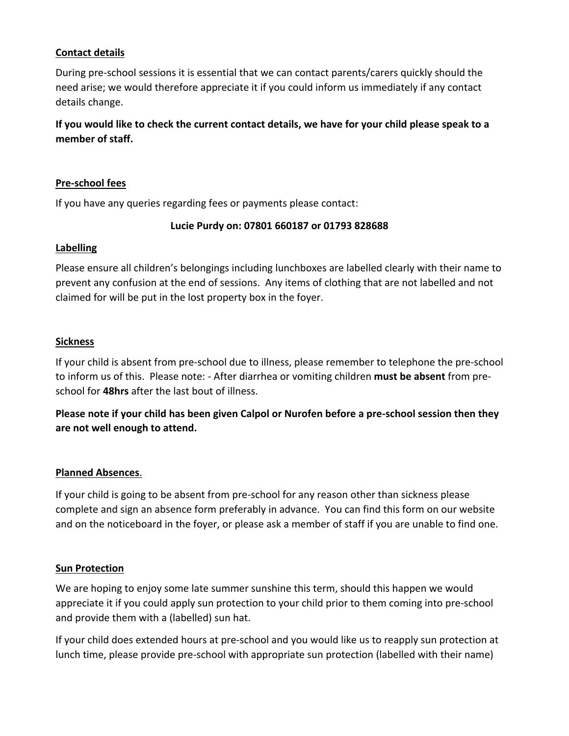### **Contact details**

During pre-school sessions it is essential that we can contact parents/carers quickly should the need arise; we would therefore appreciate it if you could inform us immediately if any contact details change.

**If you would like to check the current contact details, we have for your child please speak to a member of staff.** 

#### **Pre-school fees**

If you have any queries regarding fees or payments please contact:

#### **Lucie Purdy on: 07801 660187 or 01793 828688**

#### **Labelling**

Please ensure all children's belongings including lunchboxes are labelled clearly with their name to prevent any confusion at the end of sessions. Any items of clothing that are not labelled and not claimed for will be put in the lost property box in the foyer.

#### **Sickness**

If your child is absent from pre-school due to illness, please remember to telephone the pre-school to inform us of this. Please note: - After diarrhea or vomiting children **must be absent** from preschool for **48hrs** after the last bout of illness.

**Please note if your child has been given Calpol or Nurofen before a pre-school session then they are not well enough to attend.** 

## **Planned Absences**.

If your child is going to be absent from pre-school for any reason other than sickness please complete and sign an absence form preferably in advance. You can find this form on our website and on the noticeboard in the foyer, or please ask a member of staff if you are unable to find one.

#### **Sun Protection**

We are hoping to enjoy some late summer sunshine this term, should this happen we would appreciate it if you could apply sun protection to your child prior to them coming into pre-school and provide them with a (labelled) sun hat.

If your child does extended hours at pre-school and you would like us to reapply sun protection at lunch time, please provide pre-school with appropriate sun protection (labelled with their name)